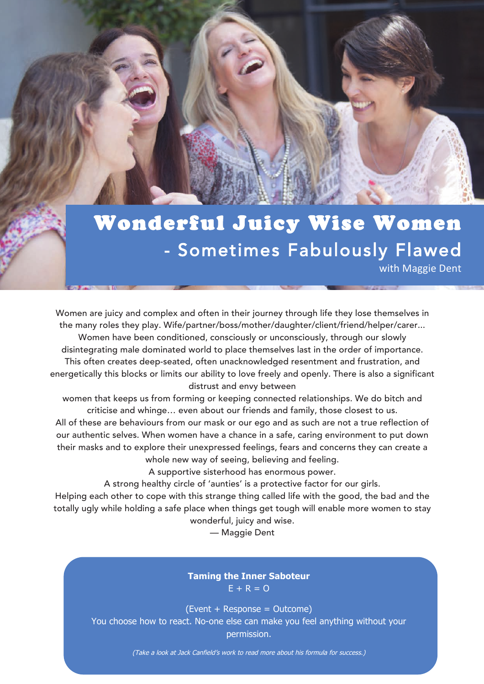## Wonderful Juicy Wise Women - Sometimes Fabulously Flawed with Maggie Dent

energetically this blocks or limits our ability to love freely and openly. There is also a significant<br>distrust and envy between Women are juicy and complex and often in their journey through life they lose themselves in the many roles they play. Wife/partner/boss/mother/daughter/client/friend/helper/carer... Women have been conditioned, consciously or unconsciously, through our slowly disintegrating male dominated world to place themselves last in the order of importance. This often creates deep-seated, often unacknowledged resentment and frustration, and distrust and envy between

 All of these are behaviours from our mask or our ego and as such are not a true reflection of women that keeps us from forming or keeping connected relationships. We do bitch and criticise and whinge… even about our friends and family, those closest to us.

 our authentic selves. When women have a chance in a safe, caring environment to put down their masks and to explore their unexpressed feelings, fears and concerns they can create a whole new way of seeing, believing and feeling.

A supportive sisterhood has enormous power.

A strong healthy circle of 'aunties' is a protective factor for our girls.

 Helping each other to cope with this strange thing called life with the good, the bad and the totally ugly while holding a safe place when things get tough will enable more women to stay<br>wonderful, juicy and wise wonderful, juicy and wise.

— Maggie Dent

#### **Taming the Inner Saboteur**  $E + R = 0$

(Event + Response = Outcome) You choose how to react. No-one else can make you feel anything without your permission.

(Take a look at Jack Canfield's work to read more about his formula for success.)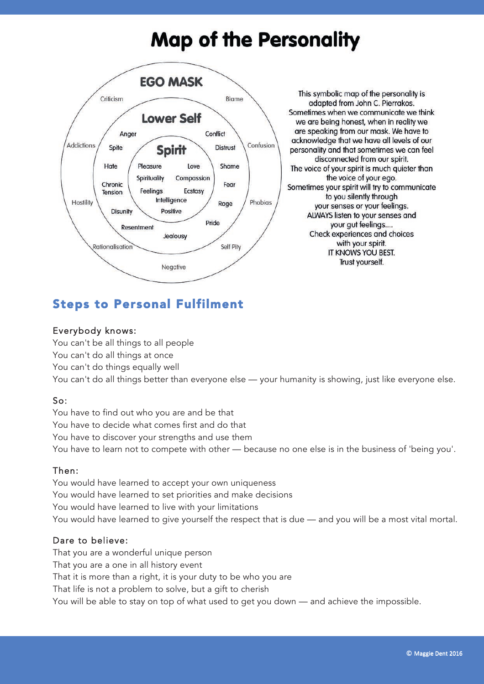# **Map of the Personality**



This symbolic map of the personality is adapted from John C. Pierrakos. Sometimes when we communicate we think we are being honest, when in reality we are speaking from our mask. We have to acknowledge that we have all levels of our personality and that sometimes we can feel disconnected from our spirit. The voice of your spirit is much quieter than the voice of your ego. Sometimes your spirit will try to communicate to you silently through your senses or your feelings. ALWAYS listen to your senses and your gut feelings.... Check experiences and choices with your spirit. IT KNOWS YOU BEST. Trust yourself.

## Steps to Personal Fulfilment

#### Everybody knows:

You can't be all things to all people You can't do all things at once You can't do things equally well You can't do all things better than everyone else — your humanity is showing, just like everyone else.

#### So:

You have to find out who you are and be that You have to decide what comes first and do that You have to discover your strengths and use them You have to learn not to compete with other — because no one else is in the business of 'being you'.

#### Then:

You would have learned to accept your own uniqueness You would have learned to set priorities and make decisions You would have learned to live with your limitations You would have learned to give yourself the respect that is due — and you will be a most vital mortal.

#### Dare to believe:

That you are a wonderful unique person That you are a one in all history event That it is more than a right, it is your duty to be who you are That life is not a problem to solve, but a gift to cherish You will be able to stay on top of what used to get you down — and achieve the impossible.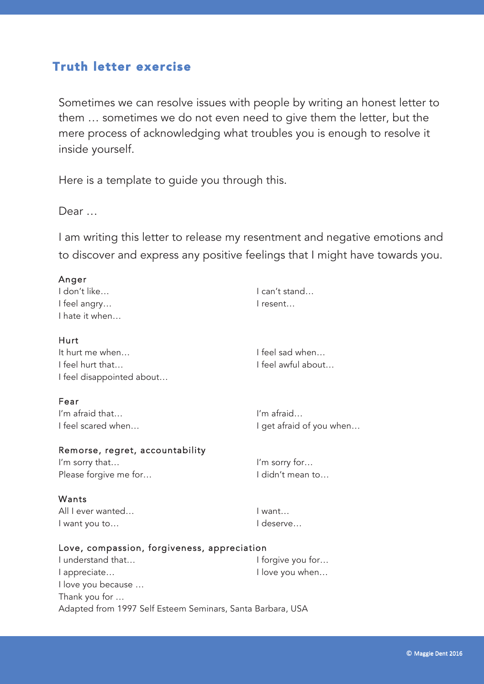### Truth letter exercise

Sometimes we can resolve issues with people by writing an honest letter to them … sometimes we do not even need to give them the letter, but the mere process of acknowledging what troubles you is enough to resolve it inside yourself.

Here is a template to guide you through this.

Dear …

I am writing this letter to release my resentment and negative emotions and to discover and express any positive feelings that I might have towards you.

| Anger                                                      |                          |
|------------------------------------------------------------|--------------------------|
| I don't like                                               | I can't stand            |
| I feel angry                                               | I resent                 |
| I hate it when                                             |                          |
| Hurt                                                       |                          |
| It hurt me when                                            | I feel sad when          |
| I feel hurt that                                           | I feel awful about       |
| I feel disappointed about                                  |                          |
| Fear                                                       |                          |
| I'm afraid that                                            | I'm afraid               |
| I feel scared when                                         | I get afraid of you when |
| Remorse, regret, accountability                            |                          |
| I'm sorry that                                             | I'm sorry for            |
| Please forgive me for                                      | I didn't mean to         |
| Wants                                                      |                          |
| All I ever wanted                                          | I want                   |
| I want you to                                              | I deserve                |
| Love, compassion, forgiveness, appreciation                |                          |
| I understand that                                          | I forgive you for        |
| l appreciate                                               | I love you when          |
| I love you because                                         |                          |
| Thank you for                                              |                          |
| Adapted from 1997 Self Esteem Seminars, Santa Barbara, USA |                          |
|                                                            |                          |